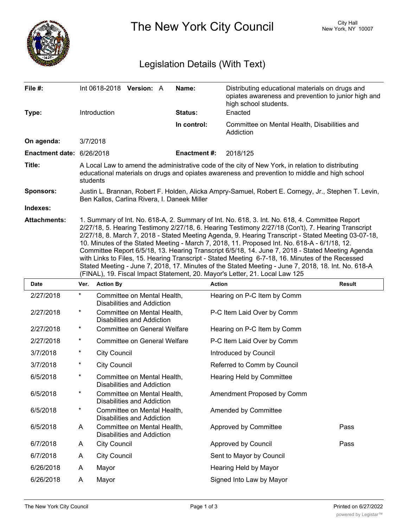

The New York City Council New York, NY 10007

## Legislation Details (With Text)

| File #:                   |                                                                                                                                                                                                                                                                                                                                                                                                                                                                                                                                                                                                                                                                                                                                                                                                           |                                                                  | Int 0618-2018 Version: A                                         |  | Name:               | Distributing educational materials on drugs and<br>opiates awareness and prevention to junior high and<br>high school students. |               |  |
|---------------------------|-----------------------------------------------------------------------------------------------------------------------------------------------------------------------------------------------------------------------------------------------------------------------------------------------------------------------------------------------------------------------------------------------------------------------------------------------------------------------------------------------------------------------------------------------------------------------------------------------------------------------------------------------------------------------------------------------------------------------------------------------------------------------------------------------------------|------------------------------------------------------------------|------------------------------------------------------------------|--|---------------------|---------------------------------------------------------------------------------------------------------------------------------|---------------|--|
| Type:                     | Introduction                                                                                                                                                                                                                                                                                                                                                                                                                                                                                                                                                                                                                                                                                                                                                                                              |                                                                  |                                                                  |  | Status:             | Enacted                                                                                                                         |               |  |
|                           |                                                                                                                                                                                                                                                                                                                                                                                                                                                                                                                                                                                                                                                                                                                                                                                                           |                                                                  |                                                                  |  | In control:         | Committee on Mental Health, Disabilities and<br>Addiction                                                                       |               |  |
| On agenda:                | 3/7/2018                                                                                                                                                                                                                                                                                                                                                                                                                                                                                                                                                                                                                                                                                                                                                                                                  |                                                                  |                                                                  |  |                     |                                                                                                                                 |               |  |
| Enactment date: 6/26/2018 |                                                                                                                                                                                                                                                                                                                                                                                                                                                                                                                                                                                                                                                                                                                                                                                                           |                                                                  |                                                                  |  | <b>Enactment #:</b> | 2018/125                                                                                                                        |               |  |
| Title:                    | A Local Law to amend the administrative code of the city of New York, in relation to distributing<br>educational materials on drugs and opiates awareness and prevention to middle and high school<br>students                                                                                                                                                                                                                                                                                                                                                                                                                                                                                                                                                                                            |                                                                  |                                                                  |  |                     |                                                                                                                                 |               |  |
| <b>Sponsors:</b>          | Justin L. Brannan, Robert F. Holden, Alicka Ampry-Samuel, Robert E. Cornegy, Jr., Stephen T. Levin,<br>Ben Kallos, Carlina Rivera, I. Daneek Miller                                                                                                                                                                                                                                                                                                                                                                                                                                                                                                                                                                                                                                                       |                                                                  |                                                                  |  |                     |                                                                                                                                 |               |  |
| Indexes:                  |                                                                                                                                                                                                                                                                                                                                                                                                                                                                                                                                                                                                                                                                                                                                                                                                           |                                                                  |                                                                  |  |                     |                                                                                                                                 |               |  |
| <b>Attachments:</b>       | 1. Summary of Int. No. 618-A, 2. Summary of Int. No. 618, 3. Int. No. 618, 4. Committee Report<br>2/27/18, 5. Hearing Testimony 2/27/18, 6. Hearing Testimony 2/27/18 (Con't), 7. Hearing Transcript<br>2/27/18, 8. March 7, 2018 - Stated Meeting Agenda, 9. Hearing Transcript - Stated Meeting 03-07-18,<br>10. Minutes of the Stated Meeting - March 7, 2018, 11. Proposed Int. No. 618-A - 6/1/18, 12.<br>Committee Report 6/5/18, 13. Hearing Transcript 6/5/18, 14. June 7, 2018 - Stated Meeting Agenda<br>with Links to Files, 15. Hearing Transcript - Stated Meeting 6-7-18, 16. Minutes of the Recessed<br>Stated Meeting - June 7, 2018, 17. Minutes of the Stated Meeting - June 7, 2018, 18. Int. No. 618-A<br>(FINAL), 19. Fiscal Impact Statement, 20. Mayor's Letter, 21. Local Law 125 |                                                                  |                                                                  |  |                     |                                                                                                                                 |               |  |
| Date                      | Ver.                                                                                                                                                                                                                                                                                                                                                                                                                                                                                                                                                                                                                                                                                                                                                                                                      | <b>Action By</b>                                                 |                                                                  |  |                     | <b>Action</b>                                                                                                                   | <b>Result</b> |  |
| 2/27/2018                 | $\ast$                                                                                                                                                                                                                                                                                                                                                                                                                                                                                                                                                                                                                                                                                                                                                                                                    | Committee on Mental Health,<br><b>Disabilities and Addiction</b> |                                                                  |  |                     | Hearing on P-C Item by Comm                                                                                                     |               |  |
| 2/27/2018                 | $^\star$                                                                                                                                                                                                                                                                                                                                                                                                                                                                                                                                                                                                                                                                                                                                                                                                  | Committee on Mental Health,<br>Disabilities and Addiction        |                                                                  |  |                     | P-C Item Laid Over by Comm                                                                                                      |               |  |
| 2/27/2018                 | $^\star$                                                                                                                                                                                                                                                                                                                                                                                                                                                                                                                                                                                                                                                                                                                                                                                                  | <b>Committee on General Welfare</b>                              |                                                                  |  |                     | Hearing on P-C Item by Comm                                                                                                     |               |  |
| 2/27/2018                 | $^\star$                                                                                                                                                                                                                                                                                                                                                                                                                                                                                                                                                                                                                                                                                                                                                                                                  | <b>Committee on General Welfare</b>                              |                                                                  |  |                     | P-C Item Laid Over by Comm                                                                                                      |               |  |
| 3/7/2018                  | $\star$                                                                                                                                                                                                                                                                                                                                                                                                                                                                                                                                                                                                                                                                                                                                                                                                   | <b>City Council</b>                                              |                                                                  |  |                     | Introduced by Council                                                                                                           |               |  |
| 3/7/2018                  | $^\star$                                                                                                                                                                                                                                                                                                                                                                                                                                                                                                                                                                                                                                                                                                                                                                                                  | <b>City Council</b>                                              |                                                                  |  |                     | Referred to Comm by Council                                                                                                     |               |  |
| 6/5/2018                  | $^\star$                                                                                                                                                                                                                                                                                                                                                                                                                                                                                                                                                                                                                                                                                                                                                                                                  | Committee on Mental Health,<br><b>Disabilities and Addiction</b> |                                                                  |  |                     | <b>Hearing Held by Committee</b>                                                                                                |               |  |
| 6/5/2018                  | *                                                                                                                                                                                                                                                                                                                                                                                                                                                                                                                                                                                                                                                                                                                                                                                                         |                                                                  | Committee on Mental Health,<br><b>Disabilities and Addiction</b> |  |                     | Amendment Proposed by Comm                                                                                                      |               |  |
| 6/5/2018                  | $\ast$                                                                                                                                                                                                                                                                                                                                                                                                                                                                                                                                                                                                                                                                                                                                                                                                    |                                                                  | Committee on Mental Health,<br>Disabilities and Addiction        |  |                     | Amended by Committee                                                                                                            |               |  |
| 6/5/2018                  | A                                                                                                                                                                                                                                                                                                                                                                                                                                                                                                                                                                                                                                                                                                                                                                                                         |                                                                  | Committee on Mental Health,<br>Disabilities and Addiction        |  |                     | Approved by Committee                                                                                                           | Pass          |  |
| 6/7/2018                  | Α                                                                                                                                                                                                                                                                                                                                                                                                                                                                                                                                                                                                                                                                                                                                                                                                         | <b>City Council</b>                                              |                                                                  |  |                     | Approved by Council                                                                                                             | Pass          |  |
| 6/7/2018                  | Α                                                                                                                                                                                                                                                                                                                                                                                                                                                                                                                                                                                                                                                                                                                                                                                                         | <b>City Council</b>                                              |                                                                  |  |                     | Sent to Mayor by Council                                                                                                        |               |  |
| 6/26/2018                 | A                                                                                                                                                                                                                                                                                                                                                                                                                                                                                                                                                                                                                                                                                                                                                                                                         | Mayor                                                            |                                                                  |  |                     | Hearing Held by Mayor                                                                                                           |               |  |
| 6/26/2018                 | Α                                                                                                                                                                                                                                                                                                                                                                                                                                                                                                                                                                                                                                                                                                                                                                                                         | Mayor                                                            |                                                                  |  |                     | Signed Into Law by Mayor                                                                                                        |               |  |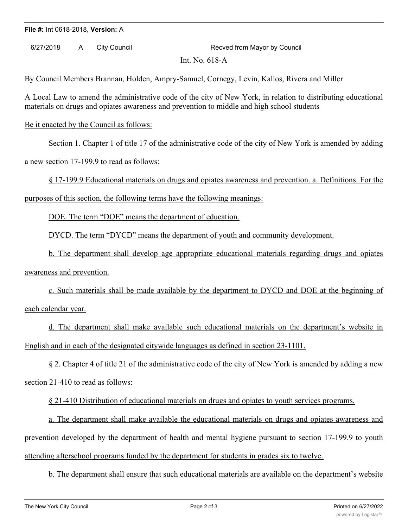## **File #:** Int 0618-2018, **Version:** A

6/27/2018 A City Council Recved from Mayor by Council

Int. No. 618-A

By Council Members Brannan, Holden, Ampry-Samuel, Cornegy, Levin, Kallos, Rivera and Miller

A Local Law to amend the administrative code of the city of New York, in relation to distributing educational materials on drugs and opiates awareness and prevention to middle and high school students

Be it enacted by the Council as follows:

Section 1. Chapter 1 of title 17 of the administrative code of the city of New York is amended by adding

a new section 17-199.9 to read as follows:

§ 17-199.9 Educational materials on drugs and opiates awareness and prevention. a. Definitions. For the

purposes of this section, the following terms have the following meanings:

DOE. The term "DOE" means the department of education.

DYCD. The term "DYCD" means the department of youth and community development.

b. The department shall develop age appropriate educational materials regarding drugs and opiates

awareness and prevention.

c. Such materials shall be made available by the department to DYCD and DOE at the beginning of each calendar year.

d. The department shall make available such educational materials on the department's website in English and in each of the designated citywide languages as defined in section 23-1101.

§ 2. Chapter 4 of title 21 of the administrative code of the city of New York is amended by adding a new section 21-410 to read as follows:

§ 21-410 Distribution of educational materials on drugs and opiates to youth services programs.

a. The department shall make available the educational materials on drugs and opiates awareness and prevention developed by the department of health and mental hygiene pursuant to section 17-199.9 to youth attending afterschool programs funded by the department for students in grades six to twelve.

b. The department shall ensure that such educational materials are available on the department's website